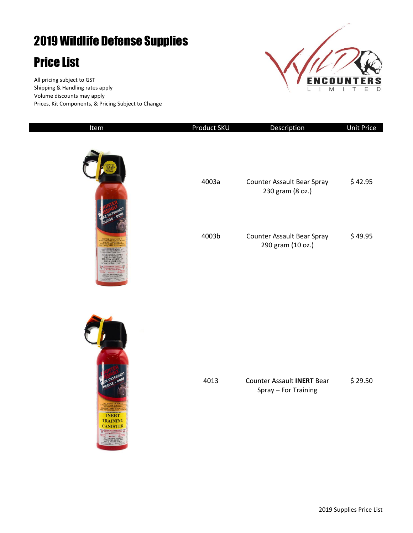## 2019 Wildlife Defense Supplies

## Price List

All pricing subject to GST Shipping & Handling rates apply Volume discounts may apply Prices, Kit Components, & Pricing Subject to Change



| Item                                                        | Product SKU | Description                                               | <b>Unit Price</b> |
|-------------------------------------------------------------|-------------|-----------------------------------------------------------|-------------------|
|                                                             | 4003a       | Counter Assault Bear Spray<br>230 gram (8 oz.)            | \$42.95           |
|                                                             | 4003b       | <b>Counter Assault Bear Spray</b><br>290 gram (10 oz.)    | \$49.95           |
| DETER<br><b>INERT</b><br><b>TRAINING</b><br><b>CANISTER</b> | 4013        | <b>Counter Assault INERT Bear</b><br>Spray - For Training | \$29.50           |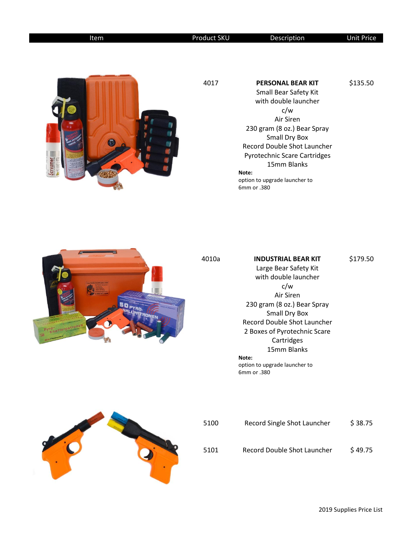| Item     | Product SKU | Description                                                                                                                                                                                                                                                                          | <b>Unit Price</b> |
|----------|-------------|--------------------------------------------------------------------------------------------------------------------------------------------------------------------------------------------------------------------------------------------------------------------------------------|-------------------|
| icreamer | 4017        | <b>PERSONAL BEAR KIT</b><br>Small Bear Safety Kit<br>with double launcher<br>c/w<br>Air Siren<br>230 gram (8 oz.) Bear Spray<br>Small Dry Box<br>Record Double Shot Launcher<br>Pyrotechnic Scare Cartridges<br>15mm Blanks<br>Note:<br>option to upgrade launcher to<br>6mm or .380 | \$135.50          |



## 4010a **INDUSTRIAL BEAR KIT** Large Bear Safety Kit with double launcher c/w Air Siren 230 gram (8 oz.) Bear Spray Small Dry Box Record Double Shot Launcher 2 Boxes of Pyrotechnic Scare Cartridges 15mm Blanks **Note:**  option to upgrade launcher to 6mm or .380 \$179.50



| 5100 | Record Single Shot Launcher | \$38.75 |
|------|-----------------------------|---------|
| 5101 | Record Double Shot Launcher | \$49.75 |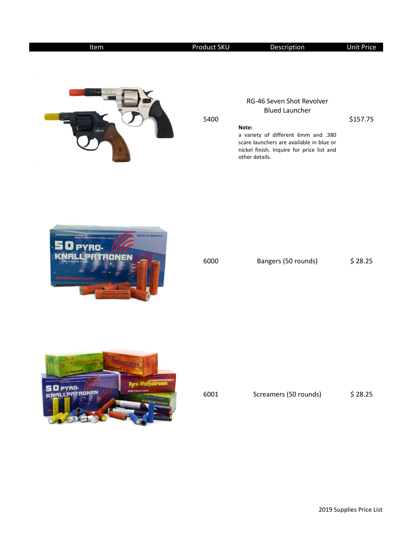| Item           | Product SKU | Description                                                                                                                                                                                                   | <b>Unit Price</b> |
|----------------|-------------|---------------------------------------------------------------------------------------------------------------------------------------------------------------------------------------------------------------|-------------------|
|                | 5400        | RG-46 Seven Shot Revolver<br><b>Blued Launcher</b><br>Note:<br>a variety of different 6mm and .380<br>scare launchers are available in blue or<br>nickel finish. Inquire for price list and<br>other details. | \$157.75          |
| ADE IN GERMANY | 6000        | Bangers (50 rounds)                                                                                                                                                                                           | \$28.25           |



| 6001 | Screamers (50 rounds) | \$28.25 |
|------|-----------------------|---------|
|      |                       |         |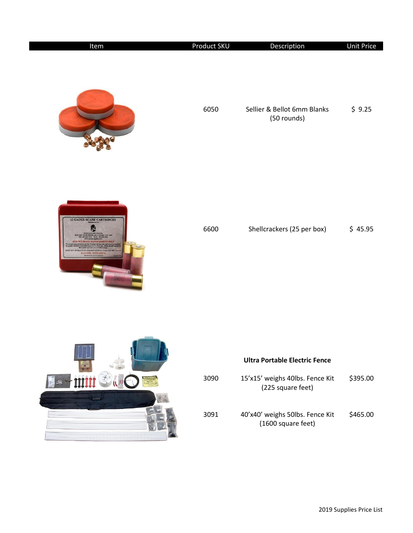| Item                                                        | <b>Product SKU</b> | Description                                | <b>Unit Price</b> |
|-------------------------------------------------------------|--------------------|--------------------------------------------|-------------------|
|                                                             | 6050               | Sellier & Bellot 6mm Blanks<br>(50 rounds) | \$9.25            |
| <b>12 GAUGE SCARE CARTRIDGES</b><br><b>JANGER - EXPLOSE</b> | 6600               | Shellcrackers (25 per box)                 | \$45.95           |
|                                                             |                    |                                            |                   |



## **Ultra Portable Electric Fence**

| 3090 | 15'x15' weighs 40lbs. Fence Kit<br>(225 square feet)  | \$395.00 |
|------|-------------------------------------------------------|----------|
| 3091 | 40'x40' weighs 50lbs. Fence Kit<br>(1600 square feet) | \$465.00 |